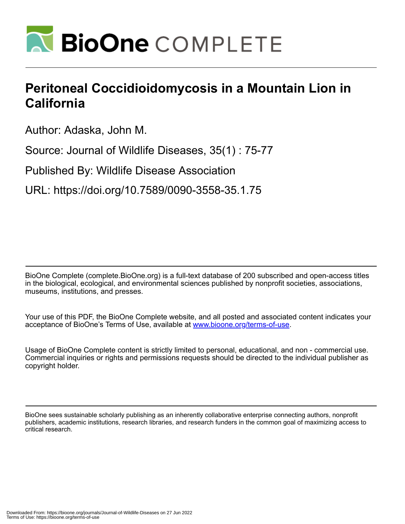

## **Peritoneal Coccidioidomycosis in a Mountain Lion in California**

Author: Adaska, John M.

Source: Journal of Wildlife Diseases, 35(1) : 75-77

Published By: Wildlife Disease Association

URL: https://doi.org/10.7589/0090-3558-35.1.75

BioOne Complete (complete.BioOne.org) is a full-text database of 200 subscribed and open-access titles in the biological, ecological, and environmental sciences published by nonprofit societies, associations, museums, institutions, and presses.

Your use of this PDF, the BioOne Complete website, and all posted and associated content indicates your acceptance of BioOne's Terms of Use, available at www.bioone.org/terms-of-use.

Usage of BioOne Complete content is strictly limited to personal, educational, and non - commercial use. Commercial inquiries or rights and permissions requests should be directed to the individual publisher as copyright holder.

BioOne sees sustainable scholarly publishing as an inherently collaborative enterprise connecting authors, nonprofit publishers, academic institutions, research libraries, and research funders in the common goal of maximizing access to critical research.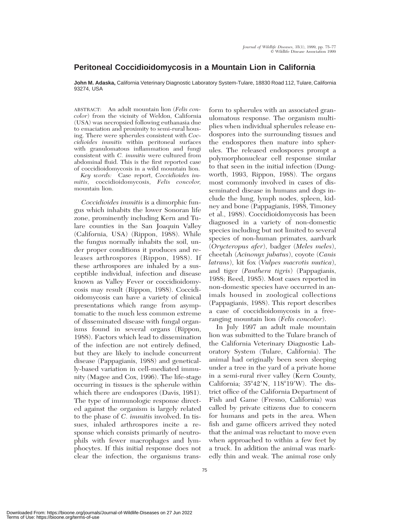## **Peritoneal Coccidioidomycosis in a Mountain Lion in California**

**John M. Adaska,** California Veterinary Diagnostic Laboratory System-Tulare, 18830 Road 112, Tulare, California 93274, USA

ABSTRACT: An adult mountain lion (*Felis concolor*) from the vicinity of Weldon, California (USA) was necropsied following euthanasia due to emaciation and proximity to semi-rural housing. There were spherules consistent with *Coccidioides immitis* within peritoneal surfaces with granulomatous inflammation and fungi consistent with *C. immitis* were cultured from abdominal fluid. This is the first reported case of coccidioidomycosis in a wild mountain lion.

*Key words:* Case report, *Coccidioides immitis,* coccidioidomycosis, *Felis concolor,* mountain lion.

*Coccidioides immitis* is a dimorphic fungus which inhabits the lower Sonoran life zone, prominently including Kern and Tulare counties in the San Joaquin Valley (California, USA) (Rippon, 1988). While the fungus normally inhabits the soil, under proper conditions it produces and releases arthrospores (Rippon, 1988). If these arthrospores are inhaled by a susceptible individual, infection and disease known as Valley Fever or coccidioidomycosis may result (Rippon, 1988). Coccidioidomycosis can have a variety of clinical presentations which range from asymptomatic to the much less common extreme of disseminated disease with fungal organisms found in several organs (Rippon, 1988). Factors which lead to dissemination of the infection are not entirely defined, but they are likely to include concurrent disease (Pappagianis, 1988) and genetically-based variation in cell-mediated immunity (Magee and Cox, 1996). The life-stage occurring in tissues is the spherule within which there are endospores (Davis, 1981). The type of immunologic response directed against the organism is largely related to the phase of *C. immitis* involved. In tissues, inhaled arthrospores incite a response which consists primarily of neutrophils with fewer macrophages and lymphocytes. If this initial response does not clear the infection, the organisms transform to spherules with an associated granulomatous response. The organism multiplies when individual spherules release endospores into the surrounding tissues and the endospores then mature into spherules. The released endospores prompt a polymorphonuclear cell response similar to that seen in the initial infection (Dungworth, 1993, Rippon, 1988). The organs most commonly involved in cases of disseminated disease in humans and dogs include the lung, lymph nodes, spleen, kidney and bone (Pappagianis, 1988, Timoney et al., 1988). Coccidioidomycosis has been diagnosed in a variety of non-domestic species including but not limited to several species of non-human primates, aardvark (*Orycteropus afer*), badger (*Meles meles*), cheetah (*Acinonyx jubatus*), coyote (*Canis latrans*), kit fox (*Vulpes macrotis mutica*), and tiger (*Panthera tigris*) (Pappagianis, 1988; Reed, 1985). Most cases reported in non-domestic species have occurred in animals housed in zoological collections (Pappagianis, 1988). This report describes a case of coccidioidomycosis in a freeranging mountain lion (*Felis concolor*).

In July 1997 an adult male mountain lion was submitted to the Tulare branch of the California Veterinary Diagnostic Laboratory System (Tulare, California). The animal had originally been seen sleeping under a tree in the yard of a private home in a semi-rural river valley (Kern County, California;  $35^{\circ}42'N$ ,  $118^{\circ}19'W$ ). The district office of the California Department of Fish and Game (Fresno, California) was called by private citizens due to concern for humans and pets in the area. When fish and game officers arrived they noted that the animal was reluctant to move even when approached to within a few feet by a truck. In addition the animal was markedly thin and weak. The animal rose only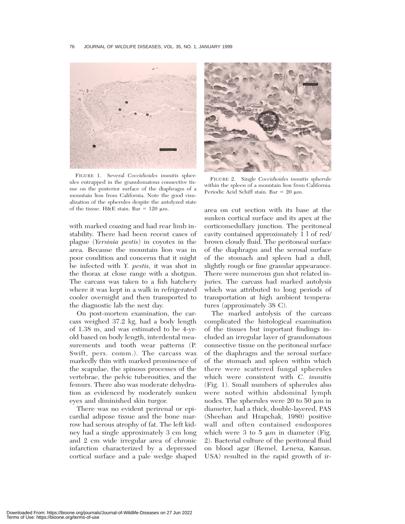

FIGURE 1. Several *Coccidioides immitis* spherules entrapped in the granulomatous connective tissue on the posterior surface of the diaphragm of a mountain lion from California. Note the good visualization of the spherules despite the autolyzed state of the tissue. H&E stain. Bar =  $120 \mu m$ .

with marked coaxing and had rear limb instability. There had been recent cases of plague (*Yersinia pestis*) in coyotes in the area. Because the mountain lion was in poor condition and concerns that it might be infected with *Y. pestis,* it was shot in the thorax at close range with a shotgun. The carcass was taken to a fish hatchery where it was kept in a walk in refrigerated cooler overnight and then transported to the diagnostic lab the next day.

On post-mortem examination, the carcass weighed 37.2 kg, had a body length of 1.38 m, and was estimated to be 4-yrold based on body length, interdental measurements and tooth wear patterns (P. Swift, pers. comm.). The carcass was markedly thin with marked prominence of the scapulae, the spinous processes of the vertebrae, the pelvic tuberosities, and the femurs. There also was moderate dehydration as evidenced by moderately sunken eyes and diminished skin turgor.

There was no evident perirenal or epicardial adipose tissue and the bone marrow had serous atrophy of fat. The left kidney had a single approximately 3 cm long and 2 cm wide irregular area of chronic infarction characterized by a depressed cortical surface and a pale wedge shaped



FIGURE 2. Single *Coccidioides immitis* spherule within the spleen of a mountain lion from California. Periodic Acid Schiff stain. Bar =  $20 \mu m$ .

area on cut section with its base at the sunken cortical surface and its apex at the corticomedullary junction. The peritoneal cavity contained approximately 1 l of red/ brown cloudy fluid. The peritoneal surface of the diaphragm and the serosal surface of the stomach and spleen had a dull, slightly rough or fine granular appearance. There were numerous gun shot related injuries. The carcass had marked autolysis which was attributed to long periods of transportation at high ambient temperatures (approximately 38 C).

The marked autolysis of the carcass complicated the histological examination of the tissues but important findings included an irregular layer of granulomatous connective tissue on the peritoneal surface of the diaphragm and the serosal surface of the stomach and spleen within which there were scattered fungal spherules which were consistent with *C. immitis* (Fig. 1). Small numbers of spherules also were noted within abdominal lymph nodes. The spherules were 20 to 50  $\mu$ m in diameter, had a thick, double-layered, PAS (Sheehan and Hrapchak, 1980) positive wall and often contained endospores which were 3 to 5  $\mu$ m in diameter (Fig. 2). Bacterial culture of the peritoneal fluid on blood agar (Remel, Lenexa, Kansas, USA) resulted in the rapid growth of ir